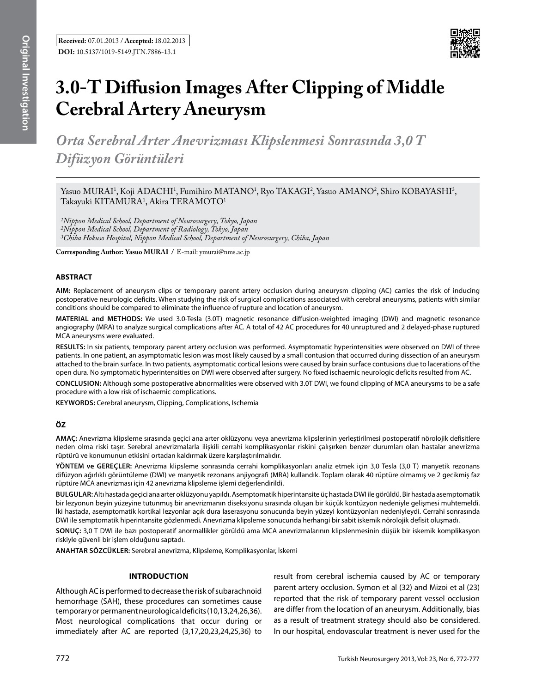

# **3.0-T Diffusion Images After Clipping of Middle Cerebral Artery Aneurysm**

*Orta Serebral Arter Anevrizması Klipslenmesi Sonrasında 3,0 T Difüzyon Görüntüleri*

Yasuo MURAI<sup>1</sup>, Koji ADACHI<sup>1</sup>, Fumihiro MATANO<sup>1</sup>, Ryo TAKAGI<sup>2</sup>, Yasuo AMANO<sup>2</sup>, Shiro KOBAYASHI<sup>3</sup>, Takayuki KITAMURA<sup>1</sup>, Akira TERAMOTO<sup>1</sup>

*1Nippon Medical School, Department of Neurosurgery, Tokyo, Japan 2Nippon Medical School, Department of Radiology, Tokyo, Japan 3Chiba Hokuso Hospital, Nippon Medical School, Department of Neurosurgery, Chiba, Japan*

**Corresponding Author: Yasuo MuraI /** E-mail: ymurai@nms.ac.jp

# **ABSTRACT**

**AIm:** Replacement of aneurysm clips or temporary parent artery occlusion during aneurysm clipping (AC) carries the risk of inducing postoperative neurologic deficits. When studying the risk of surgical complications associated with cerebral aneurysms, patients with similar conditions should be compared to eliminate the influence of rupture and location of aneurysm.

**MaterIal and Methods:** We used 3.0-Tesla (3.0T) magnetic resonance diffusion-weighted imaging (DWI) and magnetic resonance angiography (MRA) to analyze surgical complications after AC. A total of 42 AC procedures for 40 unruptured and 2 delayed-phase ruptured MCA aneurysms were evaluated.

**Results:** In six patients, temporary parent artery occlusion was performed. Asymptomatic hyperintensities were observed on DWI of three patients. In one patient, an asymptomatic lesion was most likely caused by a small contusion that occurred during dissection of an aneurysm attached to the brain surface. In two patients, asymptomatic cortical lesions were caused by brain surface contusions due to lacerations of the open dura. No symptomatic hyperintensities on DWI were observed after surgery. No fixed ischaemic neurologic deficits resulted from AC.

**ConclusIon:** Although some postoperative abnormalities were observed with 3.0T DWI, we found clipping of MCA aneurysms to be a safe procedure with a low risk of ischaemic complications.

**Keywords:** Cerebral aneurysm, Clipping, Complications, Ischemia

# **ÖZ**

**AMAÇ:** Anevrizma klipsleme sırasında geçici ana arter oklüzyonu veya anevrizma klipslerinin yerleştirilmesi postoperatif nörolojik defisitlere neden olma riski taşır. Serebral anevrizmalarla ilişkili cerrahi komplikasyonlar riskini çalışırken benzer durumları olan hastalar anevrizma rüptürü ve konumunun etkisini ortadan kaldırmak üzere karşılaştırılmalıdır.

**YÖNTEM ve GEREÇLER:** Anevrizma klipsleme sonrasında cerrahi komplikasyonları analiz etmek için 3,0 Tesla (3,0 T) manyetik rezonans difüzyon ağırlıklı görüntüleme (DWI) ve manyetik rezonans anjiyografi (MRA) kullandık. Toplam olarak 40 rüptüre olmamış ve 2 gecikmiş faz rüptüre MCA anevrizması için 42 anevrizma klipsleme işlemi değerlendirildi.

**BULGULAR:**Altı hastada geçici ana arter oklüzyonu yapıldı. Asemptomatik hiperintansite üç hastada DWI ile görüldü. Bir hastada asemptomatik bir lezyonun beyin yüzeyine tutunmuş bir anevrizmanın diseksiyonu sırasında oluşan bir küçük kontüzyon nedeniyle gelişmesi muhtemeldi. İki hastada, asemptomatik kortikal lezyonlar açık dura laserasyonu sonucunda beyin yüzeyi kontüzyonları nedeniyleydi. Cerrahi sonrasında DWI ile semptomatik hiperintansite gözlenmedi. Anevrizma klipsleme sonucunda herhangi bir sabit iskemik nörolojik defisit oluşmadı.

**SONUÇ:** 3,0 T DWI ile bazı postoperatif anormallikler görüldü ama MCA anevrizmalarının klipslenmesinin düşük bir iskemik komplikasyon riskiyle güvenli bir işlem olduğunu saptadı.

**ANAHTAR SÖZCÜKLER:** Serebral anevrizma, Klipsleme, Komplikasyonlar, İskemi

# **Introduction**

Although AC is performed to decrease the risk of subarachnoid hemorrhage (SAH), these procedures can sometimes cause temporary or permanent neurological deficits (10,13,24,26,36). Most neurological complications that occur during or immediately after AC are reported (3,17,20,23,24,25,36) to

result from cerebral ischemia caused by AC or temporary parent artery occlusion. Symon et al (32) and Mizoi et al (23) reported that the risk of temporary parent vessel occlusion are differ from the location of an aneurysm. Additionally, bias as a result of treatment strategy should also be considered. In our hospital, endovascular treatment is never used for the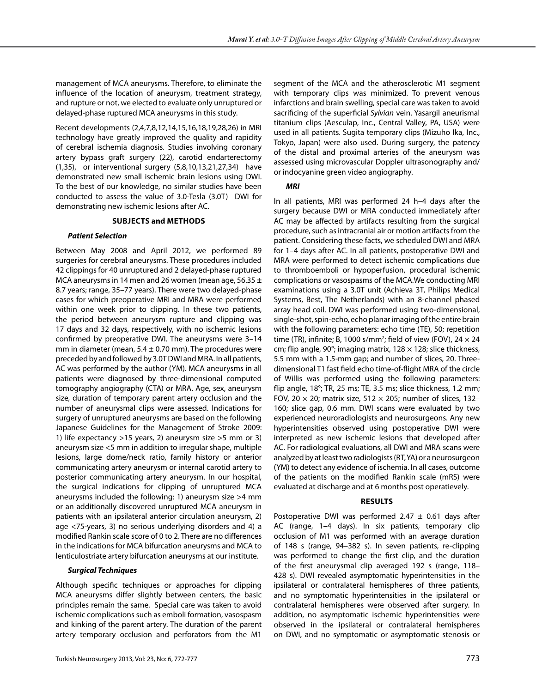management of MCA aneurysms. Therefore, to eliminate the influence of the location of aneurysm, treatment strategy, and rupture or not, we elected to evaluate only unruptured or delayed-phase ruptured MCA aneurysms in this study.

Recent developments (2,4,7,8,12,14,15,16,18,19,28,26) in MRI technology have greatly improved the quality and rapidity of cerebral ischemia diagnosis. Studies involving coronary artery bypass graft surgery (22), carotid endarterectomy (1,35), or interventional surgery (5,8,10,13,21,27,34) have demonstrated new small ischemic brain lesions using DWI. To the best of our knowledge, no similar studies have been conducted to assess the value of 3.0-Tesla (3.0T) DWI for demonstrating new ischemic lesions after AC.

## **Subjects and Methods**

#### *Patient Selection*

Between May 2008 and April 2012, we performed 89 surgeries for cerebral aneurysms. These procedures included 42 clippings for 40 unruptured and 2 delayed-phase ruptured MCA aneurysms in 14 men and 26 women (mean age, 56.35  $\pm$ 8.7 years; range, 35–77 years). There were two delayed-phase cases for which preoperative MRI and MRA were performed within one week prior to clipping. In these two patients, the period between aneurysm rupture and clipping was 17 days and 32 days, respectively, with no ischemic lesions confirmed by preoperative DWI. The aneurysms were 3–14 mm in diameter (mean,  $5.4 \pm 0.70$  mm). The procedures were preceded by and followed by 3.0T DWI and MRA. In all patients, AC was performed by the author (YM). MCA aneurysms in all patients were diagnosed by three-dimensional computed tomography angiography (CTA) or MRA. Age, sex, aneurysm size, duration of temporary parent artery occlusion and the number of aneurysmal clips were assessed. Indications for surgery of unruptured aneurysms are based on the following Japanese Guidelines for the Management of Stroke 2009: 1) life expectancy >15 years, 2) aneurysm size >5 mm or 3) aneurysm size <5 mm in addition to irregular shape, multiple lesions, large dome/neck ratio, family history or anterior communicating artery aneurysm or internal carotid artery to posterior communicating artery aneurysm. In our hospital, the surgical indications for clipping of unruptured MCA aneurysms included the following: 1) aneurysm size >4 mm or an additionally discovered unruptured MCA aneurysm in patients with an ipsilateral anterior circulation aneurysm, 2) age <75-years, 3) no serious underlying disorders and 4) a modified Rankin scale score of 0 to 2. There are no differences in the indications for MCA bifurcation aneurysms and MCA to lenticulostriate artery bifurcation aneurysms at our institute.

## *Surgical Techniques*

Although specific techniques or approaches for clipping MCA aneurysms differ slightly between centers, the basic principles remain the same. Special care was taken to avoid ischemic complications such as emboli formation, vasospasm and kinking of the parent artery. The duration of the parent artery temporary occlusion and perforators from the M1

segment of the MCA and the atherosclerotic M1 segment with temporary clips was minimized. To prevent venous infarctions and brain swelling, special care was taken to avoid sacrificing of the superficial *Sylvian* vein. Yasargil aneurismal titanium clips (Aesculap, Inc., Central Valley, PA, USA) were used in all patients. Sugita temporary clips (Mizuho Ika, Inc., Tokyo, Japan) were also used. During surgery, the patency of the distal and proximal arteries of the aneurysm was assessed using microvascular Doppler ultrasonography and/ or indocyanine green video angiography.

#### *MRI*

In all patients, MRI was performed 24 h–4 days after the surgery because DWI or MRA conducted immediately after AC may be affected by artifacts resulting from the surgical procedure, such as intracranial air or motion artifacts from the patient. Considering these facts, we scheduled DWI and MRA for 1–4 days after AC. In all patients, postoperative DWI and MRA were performed to detect ischemic complications due to thromboemboli or hypoperfusion, procedural ischemic complications or vasospasms of the MCA.We conducting MRI examinations using a 3.0T unit (Achieva 3T, Philips Medical Systems, Best, The Netherlands) with an 8-channel phased array head coil. DWI was performed using two-dimensional, single-shot, spin-echo, echo planar imaging of the entire brain with the following parameters: echo time (TE), 50; repetition time (TR), infinite; B, 1000 s/mm<sup>2</sup>; field of view (FOV), 24  $\times$  24 cm; flip angle, 90°; imaging matrix, 128  $\times$  128; slice thickness, 5.5 mm with a 1.5-mm gap; and number of slices, 20. Threedimensional T1 fast field echo time-of-flight MRA of the circle of Willis was performed using the following parameters: flip angle, 18°; TR, 25 ms; TE, 3.5 ms; slice thickness, 1.2 mm; FOV, 20  $\times$  20; matrix size, 512  $\times$  205; number of slices, 132-160; slice gap, 0.6 mm. DWI scans were evaluated by two experienced neuroradiologists and neurosurgeons. Any new hyperintensities observed using postoperative DWI were interpreted as new ischemic lesions that developed after AC. For radiological evaluations, all DWI and MRA scans were analyzed by at least two radiologists (RT, YA) or a neurosurgeon (YM) to detect any evidence of ischemia. In all cases, outcome of the patients on the modified Rankin scale (mRS) were evaluated at discharge and at 6 months post operatievely.

#### **Results**

Postoperative DWI was performed 2.47  $\pm$  0.61 days after AC (range, 1–4 days). In six patients, temporary clip occlusion of M1 was performed with an average duration of 148 s (range, 94–382 s). In seven patients, re-clipping was performed to change the first clip, and the duration of the first aneurysmal clip averaged 192 s (range, 118– 428 s). DWI revealed asymptomatic hyperintensities in the ipsilateral or contralateral hemispheres of three patients, and no symptomatic hyperintensities in the ipsilateral or contralateral hemispheres were observed after surgery. In addition, no asymptomatic ischemic hyperintensities were observed in the ipsilateral or contralateral hemispheres on DWI, and no symptomatic or asymptomatic stenosis or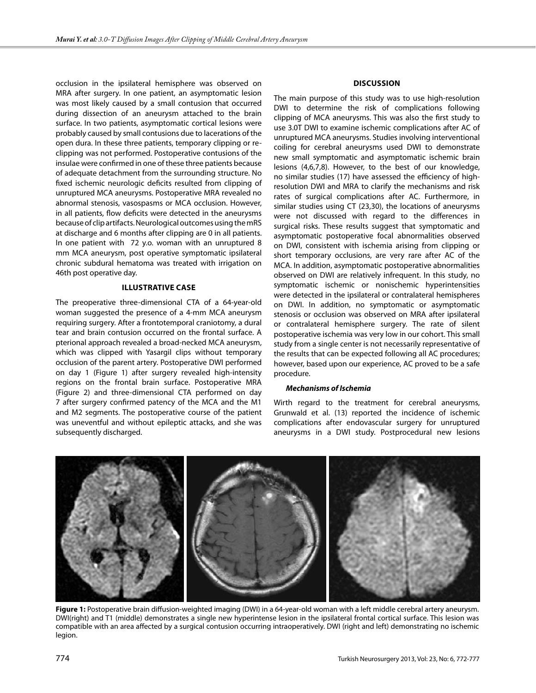occlusion in the ipsilateral hemisphere was observed on MRA after surgery. In one patient, an asymptomatic lesion was most likely caused by a small contusion that occurred during dissection of an aneurysm attached to the brain surface. In two patients, asymptomatic cortical lesions were probably caused by small contusions due to lacerations of the open dura. In these three patients, temporary clipping or reclipping was not performed. Postoperative contusions of the insulae were confirmed in one of these three patients because of adequate detachment from the surrounding structure. No fixed ischemic neurologic deficits resulted from clipping of unruptured MCA aneurysms. Postoperative MRA revealed no abnormal stenosis, vasospasms or MCA occlusion. However, in all patients, flow deficits were detected in the aneurysms because of clip artifacts. Neurological outcomes using the mRS at discharge and 6 months after clipping are 0 in all patients. In one patient with 72 y.o. woman with an unruptured 8 mm MCA aneurysm, post operative symptomatic ipsilateral chronic subdural hematoma was treated with irrigation on 46th post operative day.

## **Illustrative case**

The preoperative three-dimensional CTA of a 64-year-old woman suggested the presence of a 4-mm MCA aneurysm requiring surgery. After a frontotemporal craniotomy, a dural tear and brain contusion occurred on the frontal surface. A pterional approach revealed a broad-necked MCA aneurysm, which was clipped with Yasargil clips without temporary occlusion of the parent artery. Postoperative DWI performed on day 1 (Figure 1) after surgery revealed high-intensity regions on the frontal brain surface. Postoperative MRA (Figure 2) and three-dimensional CTA performed on day 7 after surgery confirmed patency of the MCA and the M1 and M2 segments. The postoperative course of the patient was uneventful and without epileptic attacks, and she was subsequently discharged.

# **Discussion**

The main purpose of this study was to use high-resolution DWI to determine the risk of complications following clipping of MCA aneurysms. This was also the first study to use 3.0T DWI to examine ischemic complications after AC of unruptured MCA aneurysms. Studies involving interventional coiling for cerebral aneurysms used DWI to demonstrate new small symptomatic and asymptomatic ischemic brain lesions (4,6,7,8). However, to the best of our knowledge, no similar studies (17) have assessed the efficiency of highresolution DWI and MRA to clarify the mechanisms and risk rates of surgical complications after AC. Furthermore, in similar studies using CT (23,30), the locations of aneurysms were not discussed with regard to the differences in surgical risks. These results suggest that symptomatic and asymptomatic postoperative focal abnormalities observed on DWI, consistent with ischemia arising from clipping or short temporary occlusions, are very rare after AC of the MCA. In addition, asymptomatic postoperative abnormalities observed on DWI are relatively infrequent. In this study, no symptomatic ischemic or nonischemic hyperintensities were detected in the ipsilateral or contralateral hemispheres on DWI. In addition, no symptomatic or asymptomatic stenosis or occlusion was observed on MRA after ipsilateral or contralateral hemisphere surgery. The rate of silent postoperative ischemia was very low in our cohort. This small study from a single center is not necessarily representative of the results that can be expected following all AC procedures; however, based upon our experience, AC proved to be a safe procedure.

#### *Mechanisms of Ischemia*

Wirth regard to the treatment for cerebral aneurysms, Grunwald et al. (13) reported the incidence of ischemic complications after endovascular surgery for unruptured aneurysms in a DWI study. Postprocedural new lesions



**Figure 1:** Postoperative brain diffusion-weighted imaging (DWI) in a 64-year-old woman with a left middle cerebral artery aneurysm. DWI(right) and T1 (middle) demonstrates a single new hyperintense lesion in the ipsilateral frontal cortical surface. This lesion was compatible with an area affected by a surgical contusion occurring intraoperatively. DWI (right and left) demonstrating no ischemic legion.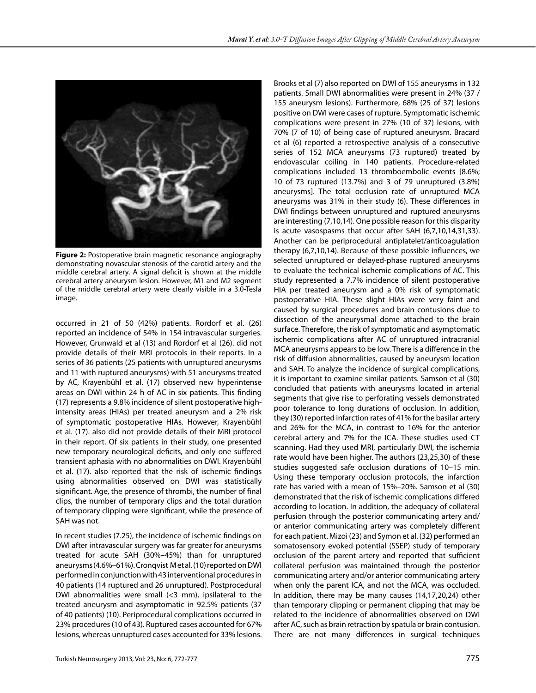Brooks et al (7) also reported on DWI of 155 aneurysms in 132



**Figure 2:** Postoperative brain magnetic resonance angiography demonstrating novascular stenosis of the carotid artery and the middle cerebral artery. A signal deficit is shown at the middle cerebral artery aneurysm lesion. However, M1 and M2 segment of the middle cerebral artery were clearly visible in a 3.0-Tesla image.

occurred in 21 of 50 (42%) patients. Rordorf et al. (26) reported an incidence of 54% in 154 intravascular surgeries. However, Grunwald et al (13) and Rordorf et al (26). did not provide details of their MRI protocols in their reports. In a series of 36 patients (25 patients with unruptured aneurysms and 11 with ruptured aneurysms) with 51 aneurysms treated by AC, Krayenbühl et al. (17) observed new hyperintense areas on DWI within 24 h of AC in six patients. This finding (17) represents a 9.8% incidence of silent postoperative highintensity areas (HIAs) per treated aneurysm and a 2% risk of symptomatic postoperative HIAs. However, Krayenbühl et al. (17). also did not provide details of their MRI protocol in their report. Of six patients in their study, one presented new temporary neurological deficits, and only one suffered transient aphasia with no abnormalities on DWI. Krayenbühl et al. (17). also reported that the risk of ischemic findings using abnormalities observed on DWI was statistically significant. Age, the presence of thrombi, the number of final clips, the number of temporary clips and the total duration of temporary clipping were significant, while the presence of SAH was not.

In recent studies (7.25), the incidence of ischemic findings on DWI after intravascular surgery was far greater for aneurysms treated for acute SAH (30%–45%) than for unruptured aneurysms (4.6%–61%). Cronqvist M et al. (10) reported on DWI performed in conjunction with 43 interventional procedures in 40 patients (14 ruptured and 26 unruptured). Postprocedural DWI abnormalities were small (<3 mm), ipsilateral to the treated aneurysm and asymptomatic in 92.5% patients (37 of 40 patients) (10). Periprocedural complications occurred in 23% procedures (10 of 43). Ruptured cases accounted for 67% lesions, whereas unruptured cases accounted for 33% lesions.

patients. Small DWI abnormalities were present in 24% (37 / 155 aneurysm lesions). Furthermore, 68% (25 of 37) lesions positive on DWI were cases of rupture. Symptomatic ischemic complications were present in 27% (10 of 37) lesions, with 70% (7 of 10) of being case of ruptured aneurysm. Bracard et al (6) reported a retrospective analysis of a consecutive series of 152 MCA aneurysms (73 ruptured) treated by endovascular coiling in 140 patients. Procedure-related complications included 13 thromboembolic events [8.6%; 10 of 73 ruptured (13.7%) and 3 of 79 unruptured (3.8%) aneurysms]. The total occlusion rate of unruptured MCA aneurysms was 31% in their study (6). These differences in DWI findings between unruptured and ruptured aneurysms are interesting (7,10,14). One possible reason for this disparity is acute vasospasms that occur after SAH (6,7,10,14,31,33). Another can be periprocedural antiplatelet/anticoagulation therapy (6,7,10,14). Because of these possible influences, we selected unruptured or delayed-phase ruptured aneurysms to evaluate the technical ischemic complications of AC. This study represented a 7.7% incidence of silent postoperative HIA per treated aneurysm and a 0% risk of symptomatic postoperative HIA. These slight HIAs were very faint and caused by surgical procedures and brain contusions due to dissection of the aneurysmal dome attached to the brain surface. Therefore, the risk of symptomatic and asymptomatic ischemic complications after AC of unruptured intracranial MCA aneurysms appears to be low. There is a difference in the risk of diffusion abnormalities, caused by aneurysm location and SAH. To analyze the incidence of surgical complications, it is important to examine similar patients. Samson et al (30) concluded that patients with aneurysms located in arterial segments that give rise to perforating vessels demonstrated poor tolerance to long durations of occlusion. In addition, they (30) reported infarction rates of 41% for the basilar artery and 26% for the MCA, in contrast to 16% for the anterior cerebral artery and 7% for the ICA. These studies used CT scanning. Had they used MRI, particularly DWI, the ischemia rate would have been higher. The authors (23,25,30) of these studies suggested safe occlusion durations of 10–15 min. Using these temporary occlusion protocols, the infarction rate has varied with a mean of 15%–20%. Samson et al (30) demonstrated that the risk of ischemic complications differed according to location. In addition, the adequacy of collateral perfusion through the posterior communicating artery and/ or anterior communicating artery was completely different for each patient. Mizoi (23) and Symon et al. (32) performed an somatosensory evoked potential (SSEP) study of temporary occlusion of the parent artery and reported that sufficient collateral perfusion was maintained through the posterior communicating artery and/or anterior communicating artery when only the parent ICA, and not the MCA, was occluded. In addition, there may be many causes (14,17,20,24) other than temporary clipping or permanent clipping that may be related to the incidence of abnormalities observed on DWI after AC, such as brain retraction by spatula or brain contusion.

There are not many differences in surgical techniques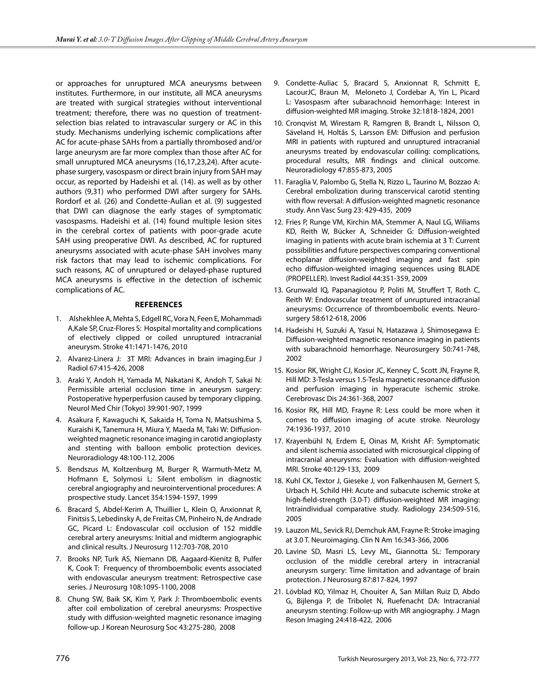or approaches for unruptured MCA aneurysms between institutes. Furthermore, in our institute, all MCA aneurysms are treated with surgical strategies without interventional treatment; therefore, there was no question of treatmentselection bias related to intravascular surgery or AC in this study. Mechanisms underlying ischemic complications after AC for acute-phase SAHs from a partially thrombosed and/or large aneurysm are far more complex than those after AC for small unruptured MCA aneurysms (16,17,23,24). After acutephase surgery, vasospasm or direct brain injury from SAH may occur, as reported by Hadeishi et al. (14). as well as by other authors (9,31) who performed DWI after surgery for SAHs. Rordorf et al. (26) and Condette-Aulian et al. (9) suggested that DWI can diagnose the early stages of symptomatic vasospasms. Hadeishi et al. (14) found multiple lesion sites in the cerebral cortex of patients with poor-grade acute SAH using preoperative DWI. As described, AC for ruptured aneurysms associated with acute-phase SAH involves many risk factors that may lead to ischemic complications. For such reasons, AC of unruptured or delayed-phase ruptured MCA aneurysms is effective in the detection of ischemic complications of AC.

# **References**

- 1. Alshekhlee A, Mehta S, Edgell RC, Vora N, Feen E, Mohammadi A,Kale SP, Cruz-Flores S: Hospital mortality and complications of electively clipped or coiled unruptured intracranial aneurysm. Stroke 41:1471-1476, 2010
- 2. Alvarez-Linera J: 3T MRI: Advances in brain imaging.Eur J Radiol 67:415-426, 2008
- 3. Araki Y, Andoh H, Yamada M, Nakatani K, Andoh T, Sakai N: Permissible arterial occlusion time in aneurysm surgery: Postoperative hyperperfusion caused by temporary clipping. Neurol Med Chir (Tokyo) 39:901-907, 1999
- 4. Asakura F, Kawaguchi K, Sakaida H, Toma N, Matsushima S, Kuraishi K, Tanemura H, Miura Y, Maeda M, Taki W: Diffusionweighted magnetic resonance imaging in carotid angioplasty and stenting with balloon embolic protection devices. Neuroradiology 48:100-112, 2006
- 5. Bendszus M, Koltzenburg M, Burger R, Warmuth-Metz M, Hofmann E, Solymosi L: Silent embolism in diagnostic cerebral angiography and neurointerventional procedures: A prospective study. Lancet 354:1594-1597, 1999
- 6. Bracard S, Abdel-Kerim A, Thuillier L, Klein O, Anxionnat R, Finitsis S, Lebedinsky A, de Freitas CM, Pinheiro N, de Andrade GC, Picard L: Endovascular coil occlusion of 152 middle cerebral artery aneurysms: Initial and midterm angiographic and clinical results. J Neurosurg 112:703-708, 2010
- 7. Brooks NP, Turk AS, Niemann DB, Aagaard-Kienitz B, Pulfer K, Cook T: Frequency of thromboembolic events associated with endovascular aneurysm treatment: Retrospective case series. J Neurosurg 108:1095-1100, 2008
- 8. Chung SW, Baik SK, Kim Y, Park J: Thromboembolic events after coil embolization of cerebral aneurysms: Prospective study with diffusion-weighted magnetic resonance imaging follow-up. J Korean Neurosurg Soc 43:275-280, 2008
- 9. Condette-Auliac S, Bracard S, Anxionnat R, Schmitt E, LacourJC, Braun M, Meloneto J, Cordebar A, Yin L, Picard L: Vasospasm after subarachnoid hemorrhage: Interest in diffusion-weighted MR imaging. Stroke 32:1818-1824, 2001
- 10. Cronqvist M, Wirestam R, Ramgren B, Brandt L, Nilsson O, Säveland H, Holtås S, Larsson EM: Diffusion and perfusion MRI in patients with ruptured and unruptured intracranial aneurysms treated by endovascular coiling: complications, procedural results, MR findings and clinical outcome. Neuroradiology 47:855-873, 2005
- 11. Faraglia V, Palombo G, Stella N, Rizzo L, Taurino M, Bozzao A: Cerebral embolization during transcervical carotid stenting with flow reversal: A diffusion-weighted magnetic resonance study. Ann Vasc Surg 23: 429-435, 2009
- 12. Fries P, Runge VM, Kirchin MA, Stemmer A, Naul LG, Wiliams KD, Reith W, Bücker A, Schneider G: Diffusion-weighted imaging in patients with acute brain ischemia at 3 T: Current possibilities and future perspectives comparing conventional echoplanar diffusion-weighted imaging and fast spin echo diffusion-weighted imaging sequences using BLADE (PROPELLER). Invest Radiol 44:351-359, 2009
- 13. Grunwald IQ, Papanagiotou P, Politi M, Struffert T, Roth C, Reith W: Endovascular treatment of unruptured intracranial aneurysms: Occurrence of thromboembolic events. Neurosurgery 58:612-618, 2006
- 14. Hadeishi H, Suzuki A, Yasui N, Hatazawa J, Shimosegawa E: Diffusion-weighted magnetic resonance imaging in patients with subarachnoid hemorrhage. Neurosurgery 50:741-748, 2002
- 15. Kosior RK, Wright CJ, Kosior JC, Kenney C, Scott JN, Frayne R, Hill MD: 3-Tesla versus 1.5-Tesla magnetic resonance diffusion and perfusion imaging in hyperacute ischemic stroke. Cerebrovasc Dis 24:361-368, 2007
- 16. Kosior RK, Hill MD, Frayne R: Less could be more when it comes to diffusion imaging of acute stroke. Neurology 74:1936-1937, 2010
- 17. Krayenbühl N, Erdem E, Oinas M, Krisht AF: Symptomatic and silent ischemia associated with microsurgical clipping of intracranial aneurysms: Evaluation with diffusion-weighted MRI. Stroke 40:129-133, 2009
- 18. Kuhl CK, Textor J, Gieseke J, von Falkenhausen M, Gernert S, Urbach H, Schild HH: Acute and subacute ischemic stroke at high-field-strength (3.0-T) diffusion-weighted MR imaging: Intraindividual comparative study. Radiology 234:509-516, 2005
- 19. Lauzon ML, Sevick RJ, Demchuk AM, Frayne R: Stroke imaging at 3.0 T. Neuroimaging. Clin N Am 16:343-366, 2006
- 20. Lavine SD, Masri LS, Levy ML, Giannotta SL: Temporary occlusion of the middle cerebral artery in intracranial aneurysm surgery: Time limitation and advantage of brain protection. J Neurosurg 87:817-824, 1997
- 21. Lövblad KO, Yilmaz H, Chouiter A, San Millan Ruiz D, Abdo G, Bijlenga P, de Tribolet N, Ruefenacht DA: Intracranial aneurysm stenting: Follow-up with MR angiography. J Magn Reson Imaging 24:418-422, 2006